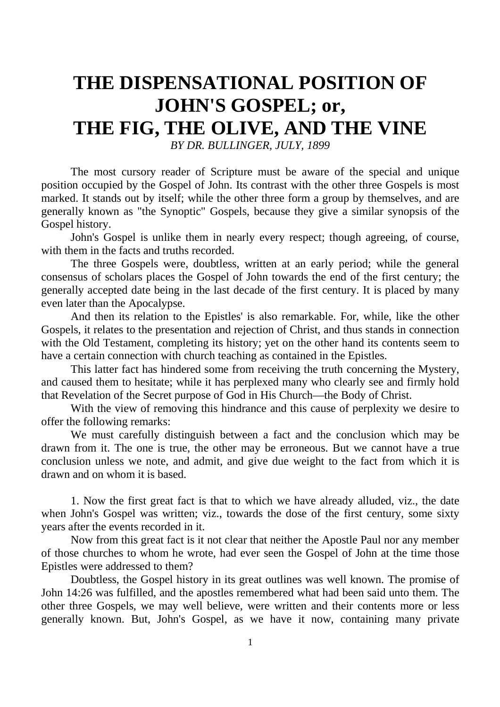# **THE DISPENSATIONAL POSITION OF JOHN'S GOSPEL; or, THE FIG, THE OLIVE, AND THE VINE**

*BY DR. BULLINGER, JULY, 1899*

The most cursory reader of Scripture must be aware of the special and unique position occupied by the Gospel of John. Its contrast with the other three Gospels is most marked. It stands out by itself; while the other three form a group by themselves, and are generally known as "the Synoptic" Gospels, because they give a similar synopsis of the Gospel history.

John's Gospel is unlike them in nearly every respect; though agreeing, of course, with them in the facts and truths recorded.

The three Gospels were, doubtless, written at an early period; while the general consensus of scholars places the Gospel of John towards the end of the first century; the generally accepted date being in the last decade of the first century. It is placed by many even later than the Apocalypse.

And then its relation to the Epistles' is also remarkable. For, while, like the other Gospels, it relates to the presentation and rejection of Christ, and thus stands in connection with the Old Testament, completing its history; yet on the other hand its contents seem to have a certain connection with church teaching as contained in the Epistles.

This latter fact has hindered some from receiving the truth concerning the Mystery, and caused them to hesitate; while it has perplexed many who clearly see and firmly hold that Revelation of the Secret purpose of God in His Church—the Body of Christ.

With the view of removing this hindrance and this cause of perplexity we desire to offer the following remarks:

We must carefully distinguish between a fact and the conclusion which may be drawn from it. The one is true, the other may be erroneous. But we cannot have a true conclusion unless we note, and admit, and give due weight to the fact from which it is drawn and on whom it is based.

1. Now the first great fact is that to which we have already alluded, viz., the date when John's Gospel was written; viz., towards the dose of the first century, some sixty years after the events recorded in it.

Now from this great fact is it not clear that neither the Apostle Paul nor any member of those churches to whom he wrote, had ever seen the Gospel of John at the time those Epistles were addressed to them?

Doubtless, the Gospel history in its great outlines was well known. The promise of John 14:26 was fulfilled, and the apostles remembered what had been said unto them. The other three Gospels, we may well believe, were written and their contents more or less generally known. But, John's Gospel, as we have it now, containing many private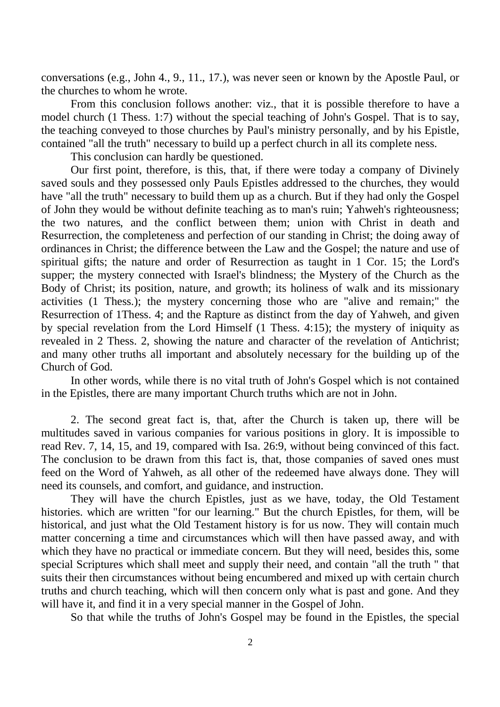conversations (e.g., John 4., 9., 11., 17.), was never seen or known by the Apostle Paul, or the churches to whom he wrote.

From this conclusion follows another: viz., that it is possible therefore to have a model church (1 Thess. 1:7) without the special teaching of John's Gospel. That is to say, the teaching conveyed to those churches by Paul's ministry personally, and by his Epistle, contained "all the truth" necessary to build up a perfect church in all its complete ness.

This conclusion can hardly be questioned.

Our first point, therefore, is this, that, if there were today a company of Divinely saved souls and they possessed only Pauls Epistles addressed to the churches, they would have "all the truth" necessary to build them up as a church. But if they had only the Gospel of John they would be without definite teaching as to man's ruin; Yahweh's righteousness; the two natures, and the conflict between them; union with Christ in death and Resurrection, the completeness and perfection of our standing in Christ; the doing away of ordinances in Christ; the difference between the Law and the Gospel; the nature and use of spiritual gifts; the nature and order of Resurrection as taught in 1 Cor. 15; the Lord's supper; the mystery connected with Israel's blindness; the Mystery of the Church as the Body of Christ; its position, nature, and growth; its holiness of walk and its missionary activities (1 Thess.); the mystery concerning those who are "alive and remain;" the Resurrection of 1Thess. 4; and the Rapture as distinct from the day of Yahweh, and given by special revelation from the Lord Himself (1 Thess. 4:15); the mystery of iniquity as revealed in 2 Thess. 2, showing the nature and character of the revelation of Antichrist; and many other truths all important and absolutely necessary for the building up of the Church of God.

In other words, while there is no vital truth of John's Gospel which is not contained in the Epistles, there are many important Church truths which are not in John.

2. The second great fact is, that, after the Church is taken up, there will be multitudes saved in various companies for various positions in glory. It is impossible to read Rev. 7, 14, 15, and 19, compared with Isa. 26:9, without being convinced of this fact. The conclusion to be drawn from this fact is, that, those companies of saved ones must feed on the Word of Yahweh, as all other of the redeemed have always done. They will need its counsels, and comfort, and guidance, and instruction.

They will have the church Epistles, just as we have, today, the Old Testament histories. which are written "for our learning." But the church Epistles, for them, will be historical, and just what the Old Testament history is for us now. They will contain much matter concerning a time and circumstances which will then have passed away, and with which they have no practical or immediate concern. But they will need, besides this, some special Scriptures which shall meet and supply their need, and contain "all the truth " that suits their then circumstances without being encumbered and mixed up with certain church truths and church teaching, which will then concern only what is past and gone. And they will have it, and find it in a very special manner in the Gospel of John.

So that while the truths of John's Gospel may be found in the Epistles, the special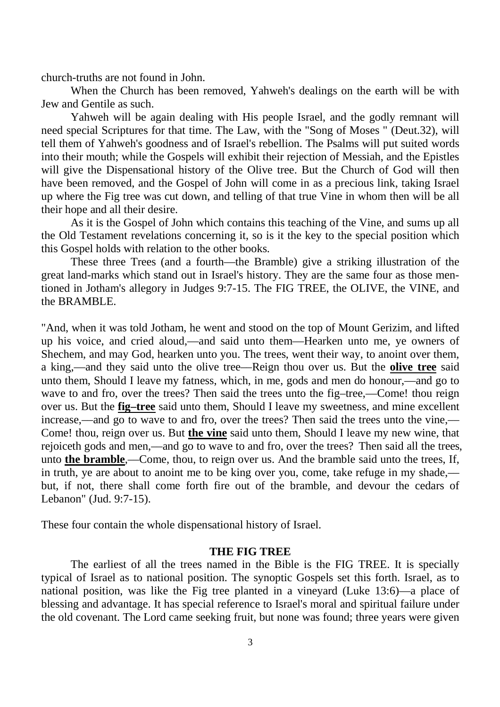church-truths are not found in John.

When the Church has been removed, Yahweh's dealings on the earth will be with Jew and Gentile as such.

Yahweh will be again dealing with His people Israel, and the godly remnant will need special Scriptures for that time. The Law, with the "Song of Moses " (Deut.32), will tell them of Yahweh's goodness and of Israel's rebellion. The Psalms will put suited words into their mouth; while the Gospels will exhibit their rejection of Messiah, and the Epistles will give the Dispensational history of the Olive tree. But the Church of God will then have been removed, and the Gospel of John will come in as a precious link, taking Israel up where the Fig tree was cut down, and telling of that true Vine in whom then will be all their hope and all their desire.

As it is the Gospel of John which contains this teaching of the Vine, and sums up all the Old Testament revelations concerning it, so is it the key to the special position which this Gospel holds with relation to the other books.

These three Trees (and a fourth—the Bramble) give a striking illustration of the great land-marks which stand out in Israel's history. They are the same four as those mentioned in Jotham's allegory in Judges 9:7-15. The FIG TREE, the OLIVE, the VINE, and the BRAMBLE.

"And, when it was told Jotham, he went and stood on the top of Mount Gerizim, and lifted up his voice, and cried aloud,––and said unto them––Hearken unto me, ye owners of Shechem, and may God, hearken unto you. The trees, went their way, to anoint over them, a king,––and they said unto the olive tree––Reign thou over us. But the **olive tree** said unto them, Should I leave my fatness, which, in me, gods and men do honour,—and go to wave to and fro, over the trees? Then said the trees unto the fig–tree,—Come! thou reign over us. But the **fig–tree** said unto them, Should I leave my sweetness, and mine excellent increase,—and go to wave to and fro, over the trees? Then said the trees unto the vine,— Come! thou, reign over us. But **the vine** said unto them, Should I leave my new wine, that rejoiceth gods and men,––and go to wave to and fro, over the trees? Then said all the trees, unto **the bramble**,––Come, thou, to reign over us. And the bramble said unto the trees, If, in truth, ye are about to anoint me to be king over you, come, take refuge in my shade, but, if not, there shall come forth fire out of the bramble, and devour the cedars of Lebanon" (Jud. 9:7-15).

These four contain the whole dispensational history of Israel.

## **THE FIG TREE**

The earliest of all the trees named in the Bible is the FIG TREE. It is specially typical of Israel as to national position. The synoptic Gospels set this forth. Israel, as to national position, was like the Fig tree planted in a vineyard (Luke 13:6)—a place of blessing and advantage. It has special reference to Israel's moral and spiritual failure under the old covenant. The Lord came seeking fruit, but none was found; three years were given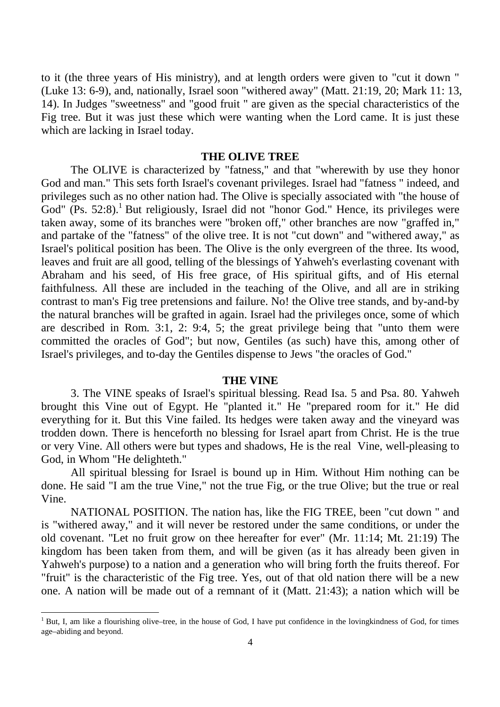to it (the three years of His ministry), and at length orders were given to "cut it down " (Luke 13: 6-9), and, nationally, Israel soon "withered away" (Matt. 21:19, 20; Mark 11: 13, 14). In Judges "sweetness" and "good fruit " are given as the special characteristics of the Fig tree. But it was just these which were wanting when the Lord came. It is just these which are lacking in Israel today.

## **THE OLIVE TREE**

The OLIVE is characterized by "fatness," and that "wherewith by use they honor God and man." This sets forth Israel's covenant privileges. Israel had "fatness " indeed, and privileges such as no other nation had. The Olive is specially associated with "the house of God" (Ps. 52:8).<sup>1</sup> But religiously, Israel did not "honor God." Hence, its privileges were taken away, some of its branches were "broken off," other branches are now "graffed in," and partake of the "fatness" of the olive tree. It is not "cut down" and "withered away," as Israel's political position has been. The Olive is the only evergreen of the three. Its wood, leaves and fruit are all good, telling of the blessings of Yahweh's everlasting covenant with Abraham and his seed, of His free grace, of His spiritual gifts, and of His eternal faithfulness. All these are included in the teaching of the Olive, and all are in striking contrast to man's Fig tree pretensions and failure. No! the Olive tree stands, and by-and-by the natural branches will be grafted in again. Israel had the privileges once, some of which are described in Rom. 3:1, 2: 9:4, 5; the great privilege being that "unto them were committed the oracles of God"; but now, Gentiles (as such) have this, among other of Israel's privileges, and to-day the Gentiles dispense to Jews "the oracles of God."

#### **THE VINE**

3. The VINE speaks of Israel's spiritual blessing. Read Isa. 5 and Psa. 80. Yahweh brought this Vine out of Egypt. He "planted it." He "prepared room for it." He did everything for it. But this Vine failed. Its hedges were taken away and the vineyard was trodden down. There is henceforth no blessing for Israel apart from Christ. He is the true or very Vine. All others were but types and shadows, He is the real Vine, well-pleasing to God, in Whom "He delighteth."

All spiritual blessing for Israel is bound up in Him. Without Him nothing can be done. He said "I am the true Vine," not the true Fig, or the true Olive; but the true or real Vine.

NATIONAL POSITION. The nation has, like the FIG TREE, been "cut down " and is "withered away," and it will never be restored under the same conditions, or under the old covenant. "Let no fruit grow on thee hereafter for ever" (Mr. 11:14; Mt. 21:19) The kingdom has been taken from them, and will be given (as it has already been given in Yahweh's purpose) to a nation and a generation who will bring forth the fruits thereof. For "fruit" is the characteristic of the Fig tree. Yes, out of that old nation there will be a new one. A nation will be made out of a remnant of it (Matt. 21:43); a nation which will be

<sup>1</sup> But, I, am like a flourishing olive–tree, in the house of God, I have put confidence in the lovingkindness of God, for times age–abiding and beyond.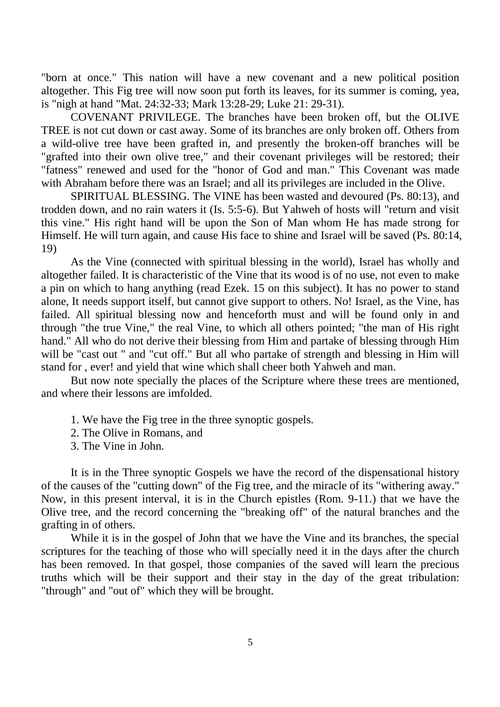"born at once." This nation will have a new covenant and a new political position altogether. This Fig tree will now soon put forth its leaves, for its summer is coming, yea, is "nigh at hand "Mat. 24:32-33; Mark 13:28-29; Luke 21: 29-31).

COVENANT PRIVILEGE. The branches have been broken off, but the OLIVE TREE is not cut down or cast away. Some of its branches are only broken off. Others from a wild-olive tree have been grafted in, and presently the broken-off branches will be "grafted into their own olive tree," and their covenant privileges will be restored; their "fatness" renewed and used for the "honor of God and man." This Covenant was made with Abraham before there was an Israel; and all its privileges are included in the Olive.

SPIRITUAL BLESSING. The VINE has been wasted and devoured (Ps. 80:13), and trodden down, and no rain waters it (Is. 5:5-6). But Yahweh of hosts will "return and visit this vine." His right hand will be upon the Son of Man whom He has made strong for Himself. He will turn again, and cause His face to shine and Israel will be saved (Ps. 80:14, 19)

As the Vine (connected with spiritual blessing in the world), Israel has wholly and altogether failed. It is characteristic of the Vine that its wood is of no use, not even to make a pin on which to hang anything (read Ezek. 15 on this subject). It has no power to stand alone, It needs support itself, but cannot give support to others. No! Israel, as the Vine, has failed. All spiritual blessing now and henceforth must and will be found only in and through "the true Vine," the real Vine, to which all others pointed; "the man of His right hand." All who do not derive their blessing from Him and partake of blessing through Him will be "cast out " and "cut off." But all who partake of strength and blessing in Him will stand for , ever! and yield that wine which shall cheer both Yahweh and man.

But now note specially the places of the Scripture where these trees are mentioned, and where their lessons are imfolded.

- 1. We have the Fig tree in the three synoptic gospels.
- 2. The Olive in Romans, and
- 3. The Vine in John.

It is in the Three synoptic Gospels we have the record of the dispensational history of the causes of the "cutting down" of the Fig tree, and the miracle of its "withering away." Now, in this present interval, it is in the Church epistles (Rom. 9-11.) that we have the Olive tree, and the record concerning the "breaking off" of the natural branches and the grafting in of others.

While it is in the gospel of John that we have the Vine and its branches, the special scriptures for the teaching of those who will specially need it in the days after the church has been removed. In that gospel, those companies of the saved will learn the precious truths which will be their support and their stay in the day of the great tribulation: "through" and "out of" which they will be brought.